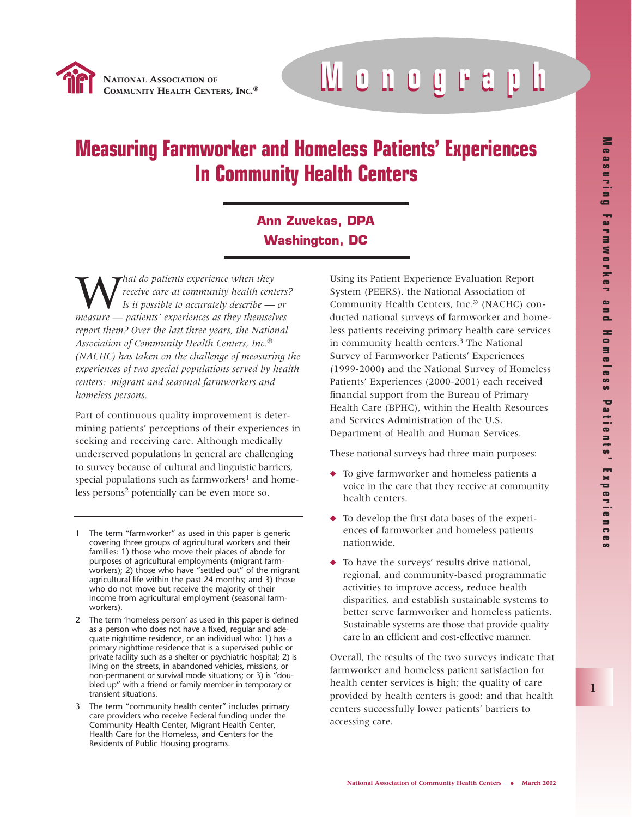

**EALTH CENTERS, INC.® Monograph Monograph**

# **Measuring Farmworker and Homeless Patients' Experiences In Community Health Centers**

# **Ann Zuvekas, DPA Washington, DC**

W*hat do patients experience when they receive care at community health centers? Is it possible to accurately describe — or measure — patients' experiences as they themselves report them? Over the last three years, the National Association of Community Health Centers, Inc.® (NACHC) has taken on the challenge of measuring the experiences of two special populations served by health centers: migrant and seasonal farmworkers and homeless persons.*

Part of continuous quality improvement is determining patients' perceptions of their experiences in seeking and receiving care. Although medically underserved populations in general are challenging to survey because of cultural and linguistic barriers, special populations such as farmworkers<sup>1</sup> and homeless persons<sup>2</sup> potentially can be even more so.

- 1 The term "farmworker" as used in this paper is generic covering three groups of agricultural workers and their families: 1) those who move their places of abode for purposes of agricultural employments (migrant farmworkers); 2) those who have "settled out" of the migrant agricultural life within the past 24 months; and 3) those who do not move but receive the majority of their income from agricultural employment (seasonal farmworkers).
- 2 The term 'homeless person' as used in this paper is defined as a person who does not have a fixed, regular and adequate nighttime residence, or an individual who: 1) has a primary nighttime residence that is a supervised public or private facility such as a shelter or psychiatric hospital; 2) is living on the streets, in abandoned vehicles, missions, or non-permanent or survival mode situations; or 3) is "doubled up" with a friend or family member in temporary or transient situations.
- 3 The term "community health center" includes primary care providers who receive Federal funding under the Community Health Center, Migrant Health Center, Health Care for the Homeless, and Centers for the Residents of Public Housing programs.

Using its Patient Experience Evaluation Report System (PEERS), the National Association of Community Health Centers, Inc.® (NACHC) conducted national surveys of farmworker and homeless patients receiving primary health care services in community health centers.<sup>3</sup> The National Survey of Farmworker Patients' Experiences (1999-2000) and the National Survey of Homeless Patients' Experiences (2000-2001) each received financial support from the Bureau of Primary Health Care (BPHC), within the Health Resources and Services Administration of the U.S. Department of Health and Human Services.

These national surveys had three main purposes:

- ◆ To give farmworker and homeless patients a voice in the care that they receive at community health centers.
- ◆ To develop the first data bases of the experiences of farmworker and homeless patients nationwide.
- ◆ To have the surveys' results drive national, regional, and community-based programmatic activities to improve access, reduce health disparities, and establish sustainable systems to better serve farmworker and homeless patients. Sustainable systems are those that provide quality care in an efficient and cost-effective manner.

Overall, the results of the two surveys indicate that farmworker and homeless patient satisfaction for health center services is high; the quality of care provided by health centers is good; and that health centers successfully lower patients' barriers to accessing care.

**1**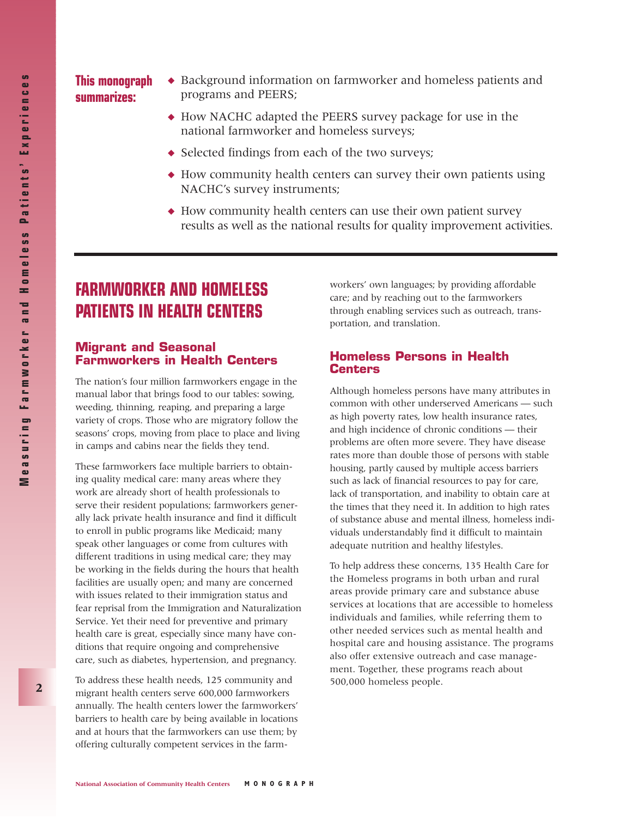#### ◆ Background information on farmworker and homeless patients and programs and PEERS; **This monograph summarizes:**

- ◆ How NACHC adapted the PEERS survey package for use in the national farmworker and homeless surveys;
- ◆ Selected findings from each of the two surveys;
- ◆ How community health centers can survey their own patients using NACHC's survey instruments;
- ◆ How community health centers can use their own patient survey results as well as the national results for quality improvement activities.

# **FARMWORKER AND HOMELESS PATIENTS IN HEALTH CENTERS**

#### **Migrant and Seasonal Farmworkers in Health Centers**

The nation's four million farmworkers engage in the manual labor that brings food to our tables: sowing, weeding, thinning, reaping, and preparing a large variety of crops. Those who are migratory follow the seasons' crops, moving from place to place and living in camps and cabins near the fields they tend.

These farmworkers face multiple barriers to obtaining quality medical care: many areas where they work are already short of health professionals to serve their resident populations; farmworkers generally lack private health insurance and find it difficult to enroll in public programs like Medicaid; many speak other languages or come from cultures with different traditions in using medical care; they may be working in the fields during the hours that health facilities are usually open; and many are concerned with issues related to their immigration status and fear reprisal from the Immigration and Naturalization Service. Yet their need for preventive and primary health care is great, especially since many have conditions that require ongoing and comprehensive care, such as diabetes, hypertension, and pregnancy.

To address these health needs, 125 community and migrant health centers serve 600,000 farmworkers annually. The health centers lower the farmworkers' barriers to health care by being available in locations and at hours that the farmworkers can use them; by offering culturally competent services in the farm-

workers' own languages; by providing affordable care; and by reaching out to the farmworkers through enabling services such as outreach, transportation, and translation.

#### **Homeless Persons in Health Centers**

Although homeless persons have many attributes in common with other underserved Americans — such as high poverty rates, low health insurance rates, and high incidence of chronic conditions — their problems are often more severe. They have disease rates more than double those of persons with stable housing, partly caused by multiple access barriers such as lack of financial resources to pay for care, lack of transportation, and inability to obtain care at the times that they need it. In addition to high rates of substance abuse and mental illness, homeless individuals understandably find it difficult to maintain adequate nutrition and healthy lifestyles.

To help address these concerns, 135 Health Care for the Homeless programs in both urban and rural areas provide primary care and substance abuse services at locations that are accessible to homeless individuals and families, while referring them to other needed services such as mental health and hospital care and housing assistance. The programs also offer extensive outreach and case management. Together, these programs reach about 500,000 homeless people.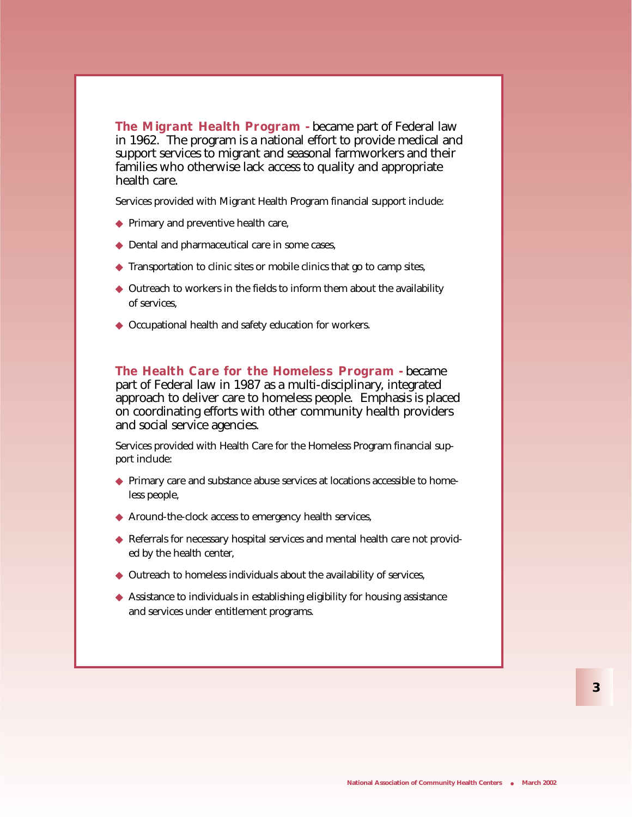**The Migrant Health Program -** became part of Federal law in 1962. The program is a national effort to provide medical and support services to migrant and seasonal farmworkers and their families who otherwise lack access to quality and appropriate health care.

Services provided with Migrant Health Program financial support include:

- ◆ Primary and preventive health care,
- ◆ Dental and pharmaceutical care in some cases,
- ◆ Transportation to clinic sites or mobile clinics that go to camp sites,
- ◆ Outreach to workers in the fields to inform them about the availability of services,
- ◆ Occupational health and safety education for workers.

**The Health Care for the Homeless Program -** became part of Federal law in 1987 as a multi-disciplinary, integrated approach to deliver care to homeless people. Emphasis is placed on coordinating efforts with other community health providers and social service agencies.

Services provided with Health Care for the Homeless Program financial support include:

- ◆ Primary care and substance abuse services at locations accessible to homeless people,
- ◆ Around-the-clock access to emergency health services,
- ◆ Referrals for necessary hospital services and mental health care not provided by the health center,
- ◆ Outreach to homeless individuals about the availability of services,
- ◆ Assistance to individuals in establishing eligibility for housing assistance and services under entitlement programs.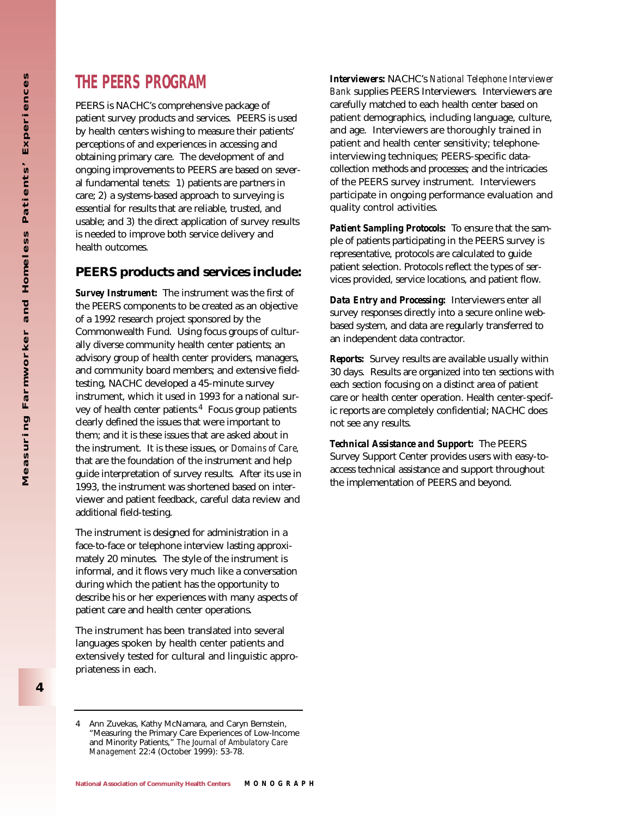PEERS is NACHC's comprehensive package of patient survey products and services. PEERS is used by health centers wishing to measure their patients' perceptions of and experiences in accessing and obtaining primary care. The development of and ongoing improvements to PEERS are based on several fundamental tenets: 1) patients are partners in care; 2) a systems-based approach to surveying is essential for results that are reliable, trusted, and usable; and 3) the direct application of survey results is needed to improve both service delivery and health outcomes.

### **PEERS products and services include:**

*Survey Instrument:* The instrument was the first of the PEERS components to be created as an objective of a 1992 research project sponsored by the Commonwealth Fund. Using focus groups of culturally diverse community health center patients; an advisory group of health center providers, managers, and community board members; and extensive fieldtesting, NACHC developed a 45-minute survey instrument, which it used in 1993 for a national survey of health center patients. $4$  Focus group patients clearly defined the issues that were important to them; and it is these issues that are asked about in the instrument. It is these issues, or *Domains of Care,* that are the foundation of the instrument and help guide interpretation of survey results. After its use in 1993, the instrument was shortened based on interviewer and patient feedback, careful data review and additional field-testing.

The instrument is designed for administration in a face-to-face or telephone interview lasting approximately 20 minutes. The style of the instrument is informal, and it flows very much like a conversation during which the patient has the opportunity to describe his or her experiences with many aspects of patient care and health center operations.

The instrument has been translated into several languages spoken by health center patients and extensively tested for cultural and linguistic appropriateness in each.

*Interviewers:* NACHC's *National Telephone Interviewer Bank* supplies PEERS Interviewers. Interviewers are carefully matched to each health center based on patient demographics, including language, culture, and age. Interviewers are thoroughly trained in patient and health center sensitivity; telephoneinterviewing techniques; PEERS-specific datacollection methods and processes; and the intricacies of the PEERS survey instrument. Interviewers participate in ongoing performance evaluation and quality control activities.

*Patient Sampling Protocols:* To ensure that the sample of patients participating in the PEERS survey is representative, protocols are calculated to guide patient selection. Protocols reflect the types of services provided, service locations, and patient flow.

*Data Entry and Processing:* Interviewers enter all survey responses directly into a secure online webbased system, and data are regularly transferred to an independent data contractor.

*Reports:* Survey results are available usually within 30 days. Results are organized into ten sections with each section focusing on a distinct area of patient care or health center operation. Health center-specific reports are completely confidential; NACHC does not see any results.

*Technical Assistance and Support:* The PEERS Survey Support Center provides users with easy-toaccess technical assistance and support throughout the implementation of PEERS and beyond.

<sup>4</sup> Ann Zuvekas, Kathy McNamara, and Caryn Bernstein, "Measuring the Primary Care Experiences of Low-Income and Minority Patients," *The Journal of Ambulatory Care Management* 22:4 (October 1999): 53-78.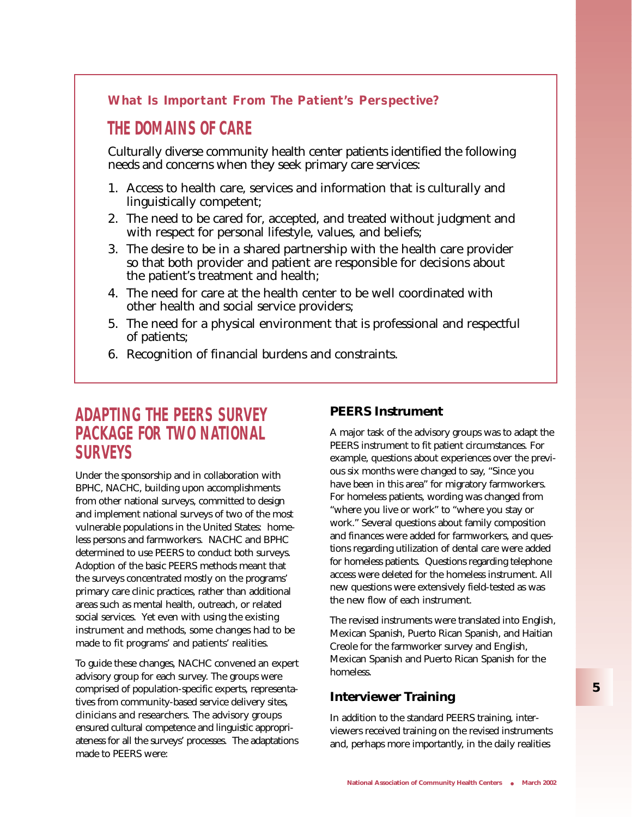### **What Is Important From The Patient's Perspective?**

# **THE DOMAINS OF CARE**

Culturally diverse community health center patients identified the following needs and concerns when they seek primary care services:

- 1. Access to health care, services and information that is culturally and linguistically competent;
- 2. The need to be cared for, accepted, and treated without judgment and with respect for personal lifestyle, values, and beliefs;
- 3. The desire to be in a shared partnership with the health care provider so that both provider and patient are responsible for decisions about the patient's treatment and health;
- 4. The need for care at the health center to be well coordinated with other health and social service providers;
- 5. The need for a physical environment that is professional and respectful of patients;
- 6. Recognition of financial burdens and constraints.

# **ADAPTING THE PEERS SURVEY PACKAGE FOR TWO NATIONAL SURVEYS**

Under the sponsorship and in collaboration with BPHC, NACHC, building upon accomplishments from other national surveys, committed to design and implement national surveys of two of the most vulnerable populations in the United States: homeless persons and farmworkers. NACHC and BPHC determined to use PEERS to conduct both surveys. Adoption of the basic PEERS methods meant that the surveys concentrated mostly on the programs' primary care clinic practices, rather than additional areas such as mental health, outreach, or related social services. Yet even with using the existing instrument and methods, some changes had to be made to fit programs' and patients' realities.

To guide these changes, NACHC convened an expert advisory group for each survey. The groups were comprised of population-specific experts, representatives from community-based service delivery sites, clinicians and researchers. The advisory groups ensured cultural competence and linguistic appropriateness for all the surveys' processes. The adaptations made to PEERS were:

### **PEERS Instrument**

A major task of the advisory groups was to adapt the PEERS instrument to fit patient circumstances. For example, questions about experiences over the previous six months were changed to say, "Since you have been in this area" for migratory farmworkers. For homeless patients, wording was changed from "where you live or work" to "where you stay or work." Several questions about family composition and finances were added for farmworkers, and questions regarding utilization of dental care were added for homeless patients. Questions regarding telephone access were deleted for the homeless instrument. All new questions were extensively field-tested as was the new flow of each instrument.

The revised instruments were translated into English, Mexican Spanish, Puerto Rican Spanish, and Haitian Creole for the farmworker survey and English, Mexican Spanish and Puerto Rican Spanish for the homeless.

### **Interviewer Training**

In addition to the standard PEERS training, interviewers received training on the revised instruments and, perhaps more importantly, in the daily realities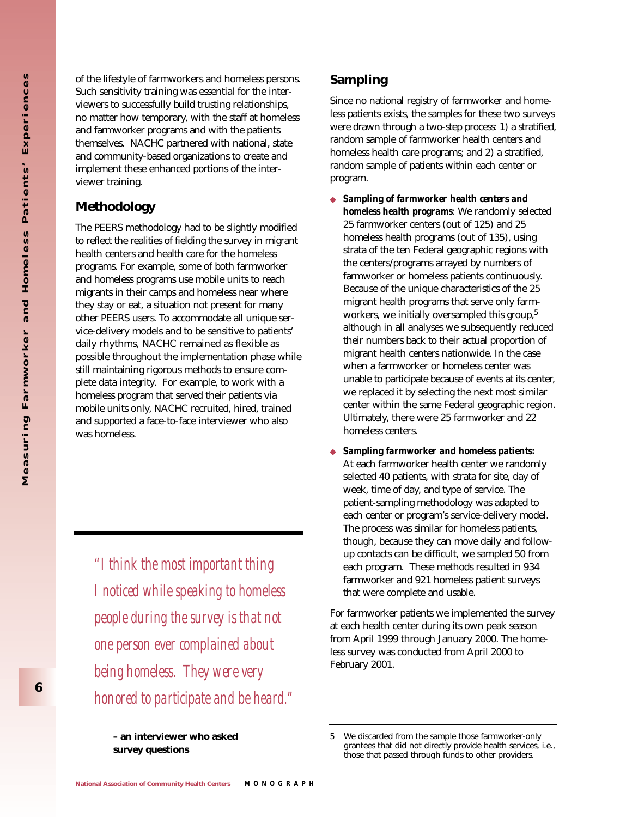of the lifestyle of farmworkers and homeless persons. Such sensitivity training was essential for the interviewers to successfully build trusting relationships, no matter how temporary, with the staff at homeless and farmworker programs and with the patients themselves. NACHC partnered with national, state and community-based organizations to create and implement these enhanced portions of the interviewer training.

### **Methodology**

The PEERS methodology had to be slightly modified to reflect the realities of fielding the survey in migrant health centers and health care for the homeless programs. For example, some of both farmworker and homeless programs use mobile units to reach migrants in their camps and homeless near where they stay or eat, a situation not present for many other PEERS users. To accommodate all unique service-delivery models and to be sensitive to patients' daily rhythms, NACHC remained as flexible as possible throughout the implementation phase while still maintaining rigorous methods to ensure complete data integrity. For example, to work with a homeless program that served their patients via mobile units only, NACHC recruited, hired, trained and supported a face-to-face interviewer who also was homeless.

*"I think the most important thing I noticed while speaking to homeless people during the survey is that not one person ever complained about being homeless. They were very honored to participate and be heard."*  **Sampling**

Since no national registry of farmworker and homeless patients exists, the samples for these two surveys were drawn through a two-step process: 1) a stratified, random sample of farmworker health centers and homeless health care programs; and 2) a stratified, random sample of patients within each center or program.

- ◆ *Sampling of farmworker health centers and homeless health programs*: We randomly selected 25 farmworker centers (out of 125) and 25 homeless health programs (out of 135), using strata of the ten Federal geographic regions with the centers/programs arrayed by numbers of farmworker or homeless patients continuously. Because of the unique characteristics of the 25 migrant health programs that serve only farmworkers, we initially oversampled this group,<sup>5</sup> although in all analyses we subsequently reduced their numbers back to their actual proportion of migrant health centers nationwide. In the case when a farmworker or homeless center was unable to participate because of events at its center, we replaced it by selecting the next most similar center within the same Federal geographic region. Ultimately, there were 25 farmworker and 22 homeless centers.
- ◆ *Sampling farmworker and homeless patients:* At each farmworker health center we randomly selected 40 patients, with strata for site, day of week, time of day, and type of service. The patient-sampling methodology was adapted to each center or program's service-delivery model. The process was similar for homeless patients, though, because they can move daily and followup contacts can be difficult, we sampled 50 from each program. These methods resulted in 934 farmworker and 921 homeless patient surveys that were complete and usable.

For farmworker patients we implemented the survey at each health center during its own peak season from April 1999 through January 2000. The homeless survey was conducted from April 2000 to February 2001.

**<sup>–</sup> an interviewer who asked survey questions**

<sup>5</sup> We discarded from the sample those farmworker-only grantees that did not directly provide health services, i.e., those that passed through funds to other providers.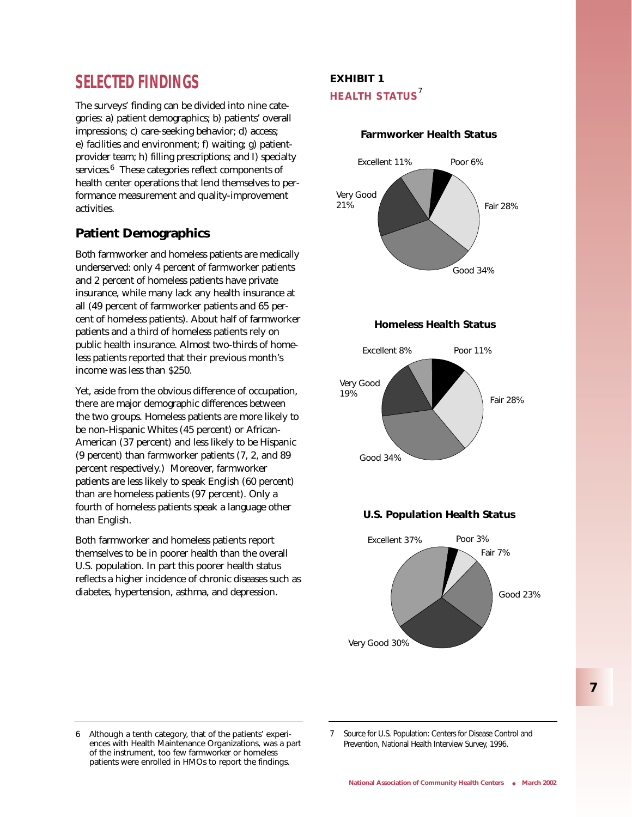# **SELECTED FINDINGS**

The surveys' finding can be divided into nine categories: a) patient demographics; b) patients' overall impressions; c) care-seeking behavior; d) access; e) facilities and environment; f) waiting; g) patientprovider team; h) filling prescriptions; and I) specialty services.<sup>6</sup> These categories reflect components of health center operations that lend themselves to performance measurement and quality-improvement activities.

## **Patient Demographics**

Both farmworker and homeless patients are medically underserved: only 4 percent of farmworker patients and 2 percent of homeless patients have private insurance, while many lack any health insurance at all (49 percent of farmworker patients and 65 percent of homeless patients). About half of farmworker patients and a third of homeless patients rely on public health insurance. Almost two-thirds of homeless patients reported that their previous month's income was less than \$250.

Yet, aside from the obvious difference of occupation, there are major demographic differences between the two groups. Homeless patients are more likely to be non-Hispanic Whites (45 percent) or African-American (37 percent) and less likely to be Hispanic (9 percent) than farmworker patients (7, 2, and 89 percent respectively.) Moreover, farmworker patients are less likely to speak English (60 percent) than are homeless patients (97 percent). Only a fourth of homeless patients speak a language other than English.

Both farmworker and homeless patients report themselves to be in poorer health than the overall U.S. population. In part this poorer health status reflects a higher incidence of chronic diseases such as diabetes, hypertension, asthma, and depression.

### **EXHIBIT 1 HEALTH STATUS**<sup>7</sup>

#### **Farmworker Health Status**



#### **Homeless Health Status**







6 Although a tenth category, that of the patients' experiences with Health Maintenance Organizations, was a part of the instrument, too few farmworker or homeless patients were enrolled in HMOs to report the findings.

7 Source for U.S. Population: Centers for Disease Control and Prevention, National Health Interview Survey, 1996.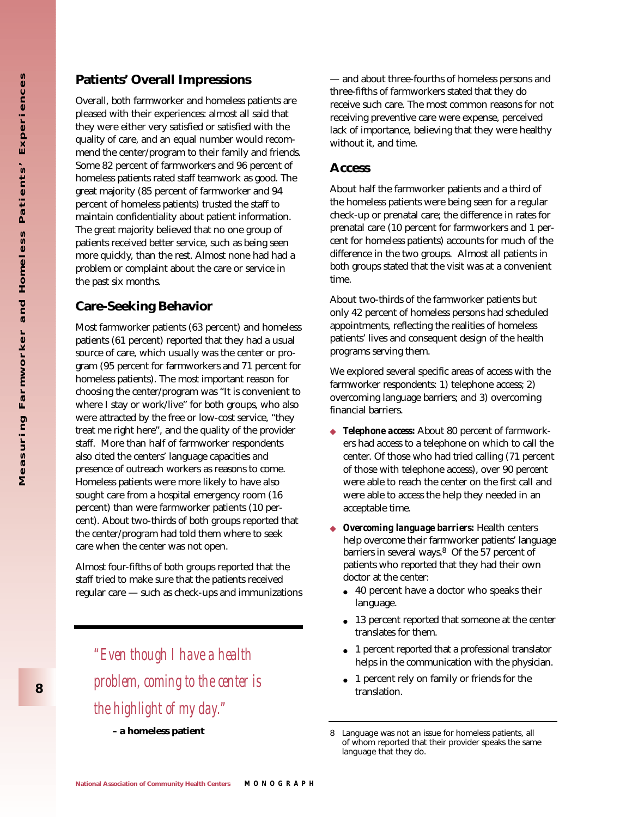### **Patients' Overall Impressions**

Overall, both farmworker and homeless patients are pleased with their experiences: almost all said that they were either very satisfied or satisfied with the quality of care, and an equal number would recommend the center/program to their family and friends. Some 82 percent of farmworkers and 96 percent of homeless patients rated staff teamwork as good. The great majority (85 percent of farmworker and 94 percent of homeless patients) trusted the staff to maintain confidentiality about patient information. The great majority believed that no one group of patients received better service, such as being seen more quickly, than the rest. Almost none had had a problem or complaint about the care or service in the past six months.

### **Care-Seeking Behavior**

Most farmworker patients (63 percent) and homeless patients (61 percent) reported that they had a usual source of care, which usually was the center or program (95 percent for farmworkers and 71 percent for homeless patients). The most important reason for choosing the center/program was "It is convenient to where I stay or work/live" for both groups, who also were attracted by the free or low-cost service, "they treat me right here", and the quality of the provider staff. More than half of farmworker respondents also cited the centers' language capacities and presence of outreach workers as reasons to come. Homeless patients were more likely to have also sought care from a hospital emergency room (16 percent) than were farmworker patients (10 percent). About two-thirds of both groups reported that the center/program had told them where to seek care when the center was not open.

Almost four-fifths of both groups reported that the staff tried to make sure that the patients received regular care — such as check-ups and immunizations

*"Even though I have a health problem, coming to the center is the highlight of my day."* 

— and about three-fourths of homeless persons and three-fifths of farmworkers stated that they do receive such care. The most common reasons for not receiving preventive care were expense, perceived lack of importance, believing that they were healthy without it, and time.

#### **Access**

About half the farmworker patients and a third of the homeless patients were being seen for a regular check-up or prenatal care; the difference in rates for prenatal care (10 percent for farmworkers and 1 percent for homeless patients) accounts for much of the difference in the two groups. Almost all patients in both groups stated that the visit was at a convenient time.

About two-thirds of the farmworker patients but only 42 percent of homeless persons had scheduled appointments, reflecting the realities of homeless patients' lives and consequent design of the health programs serving them.

We explored several specific areas of access with the farmworker respondents: 1) telephone access; 2) overcoming language barriers; and 3) overcoming financial barriers.

- ◆ *Telephone access:* About 80 percent of farmworkers had access to a telephone on which to call the center. Of those who had tried calling (71 percent of those with telephone access), over 90 percent were able to reach the center on the first call and were able to access the help they needed in an acceptable time.
- ◆ *Overcoming language barriers:* Health centers help overcome their farmworker patients' language barriers in several ways.<sup>8</sup> Of the 57 percent of patients who reported that they had their own doctor at the center:
	- 40 percent have a doctor who speaks their language.
	- 13 percent reported that someone at the center translates for them.
	- 1 percent reported that a professional translator helps in the communication with the physician.
	- 1 percent rely on family or friends for the translation.

**a homeless patient** and **8** Language was not an issue for homeless patients, all of whom reported that their provider speaks the same language that they do.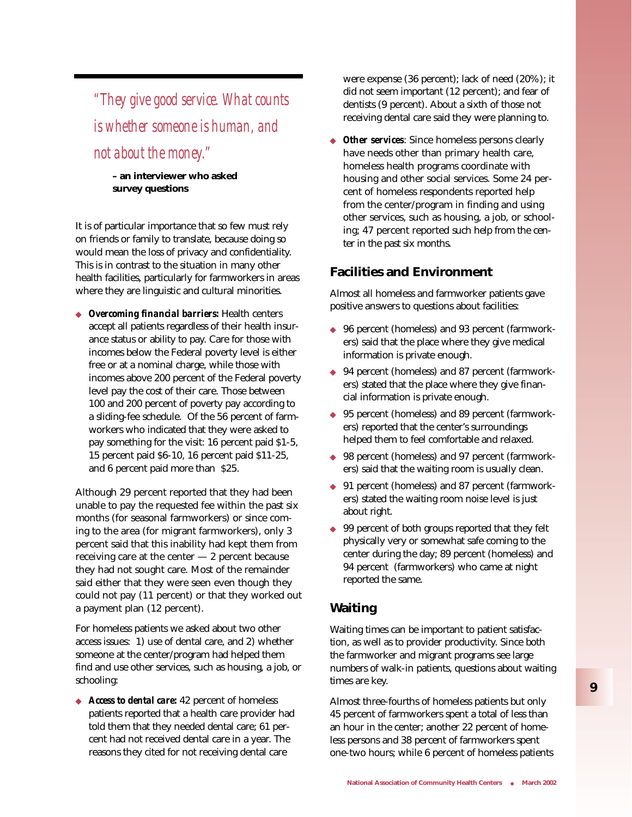*"They give good service. What counts is whether someone is human, and not about the money."* 

**– an interviewer who asked survey questions**

It is of particular importance that so few must rely on friends or family to translate, because doing so would mean the loss of privacy and confidentiality. This is in contrast to the situation in many other health facilities, particularly for farmworkers in areas where they are linguistic and cultural minorities.

◆ *Overcoming financial barriers:* Health centers accept all patients regardless of their health insurance status or ability to pay. Care for those with incomes below the Federal poverty level is either free or at a nominal charge, while those with incomes above 200 percent of the Federal poverty level pay the cost of their care. Those between 100 and 200 percent of poverty pay according to a sliding-fee schedule. Of the 56 percent of farmworkers who indicated that they were asked to pay something for the visit: 16 percent paid \$1-5, 15 percent paid \$6-10, 16 percent paid \$11-25, and 6 percent paid more than \$25.

Although 29 percent reported that they had been unable to pay the requested fee within the past six months (for seasonal farmworkers) or since coming to the area (for migrant farmworkers), only 3 percent said that this inability had kept them from receiving care at the center — 2 percent because they had not sought care. Most of the remainder said either that they were seen even though they could not pay (11 percent) or that they worked out a payment plan (12 percent).

For homeless patients we asked about two other access issues: 1) use of dental care, and 2) whether someone at the center/program had helped them find and use other services, such as housing, a job, or schooling:

◆ *Access to dental care:* 42 percent of homeless patients reported that a health care provider had told them that they needed dental care; 61 percent had not received dental care in a year. The reasons they cited for not receiving dental care

were expense (36 percent); lack of need (20%); it did not seem important (12 percent); and fear of dentists (9 percent). About a sixth of those not receiving dental care said they were planning to.

**Other services**: Since homeless persons clearly have needs other than primary health care, homeless health programs coordinate with housing and other social services. Some 24 percent of homeless respondents reported help from the center/program in finding and using other services, such as housing, a job, or schooling; 47 percent reported such help from the center in the past six months.

### **Facilities and Environment**

Almost all homeless and farmworker patients gave positive answers to questions about facilities:

- ◆ 96 percent (homeless) and 93 percent (farmworkers) said that the place where they give medical information is private enough.
- ◆ 94 percent (homeless) and 87 percent (farmworkers) stated that the place where they give financial information is private enough.
- ◆ 95 percent (homeless) and 89 percent (farmworkers) reported that the center's surroundings helped them to feel comfortable and relaxed.
- ◆ 98 percent (homeless) and 97 percent (farmworkers) said that the waiting room is usually clean.
- ◆ 91 percent (homeless) and 87 percent (farmworkers) stated the waiting room noise level is just about right.
- ◆ 99 percent of both groups reported that they felt physically very or somewhat safe coming to the center during the day; 89 percent (homeless) and 94 percent (farmworkers) who came at night reported the same.

### **Waiting**

Waiting times can be important to patient satisfaction, as well as to provider productivity. Since both the farmworker and migrant programs see large numbers of walk-in patients, questions about waiting times are key.

Almost three-fourths of homeless patients but only 45 percent of farmworkers spent a total of less than an hour in the center; another 22 percent of homeless persons and 38 percent of farmworkers spent one-two hours; while 6 percent of homeless patients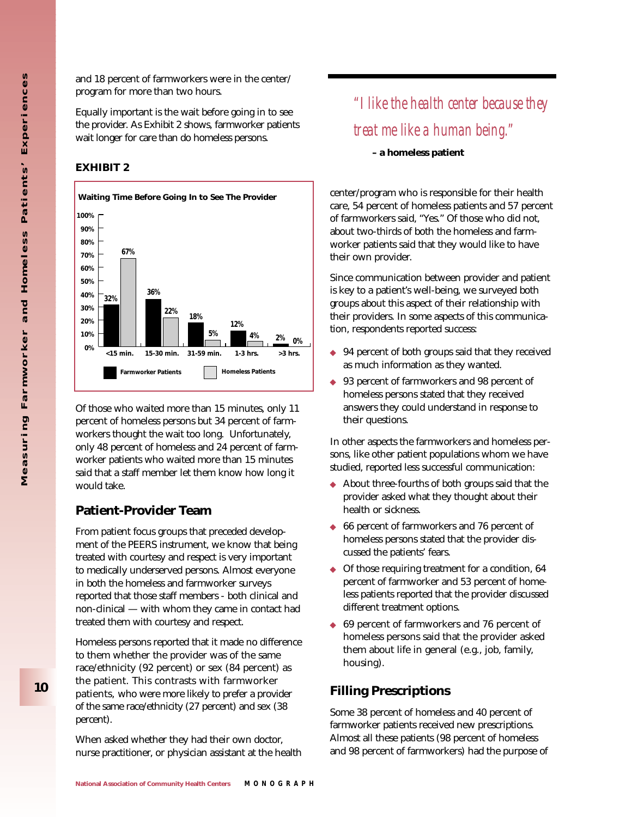and 18 percent of farmworkers were in the center/ program for more than two hours.

Equally important is the wait before going in to see the provider. As Exhibit 2 shows, farmworker patients wait longer for care than do homeless persons.

#### **EXHIBIT 2**



Of those who waited more than 15 minutes, only 11 percent of homeless persons but 34 percent of farmworkers thought the wait too long. Unfortunately, only 48 percent of homeless and 24 percent of farmworker patients who waited more than 15 minutes said that a staff member let them know how long it would take.

### **Patient-Provider Team**

From patient focus groups that preceded development of the PEERS instrument, we know that being treated with courtesy and respect is very important to medically underserved persons. Almost everyone in both the homeless and farmworker surveys reported that those staff members - both clinical and non-clinical — with whom they came in contact had treated them with courtesy and respect.

Homeless persons reported that it made no difference to them whether the provider was of the same race/ethnicity (92 percent) or sex (84 percent) as the patient. This contrasts with farmworker patients, who were more likely to prefer a provider of the same race/ethnicity (27 percent) and sex (38 percent).

When asked whether they had their own doctor, nurse practitioner, or physician assistant at the health

*"I like the health center because they treat me like a human being."* 

**– a homeless patient**

center/program who is responsible for their health care, 54 percent of homeless patients and 57 percent of farmworkers said, "Yes." Of those who did not, about two-thirds of both the homeless and farmworker patients said that they would like to have their own provider.

Since communication between provider and patient is key to a patient's well-being, we surveyed both groups about this aspect of their relationship with their providers. In some aspects of this communication, respondents reported success:

- ◆ 94 percent of both groups said that they received as much information as they wanted.
- ◆ 93 percent of farmworkers and 98 percent of homeless persons stated that they received answers they could understand in response to their questions.

In other aspects the farmworkers and homeless persons, like other patient populations whom we have studied, reported less successful communication:

- ◆ About three-fourths of both groups said that the provider asked what they thought about their health or sickness.
- ◆ 66 percent of farmworkers and 76 percent of homeless persons stated that the provider discussed the patients' fears.
- ◆ Of those requiring treatment for a condition, 64 percent of farmworker and 53 percent of homeless patients reported that the provider discussed different treatment options.
- ◆ 69 percent of farmworkers and 76 percent of homeless persons said that the provider asked them about life in general (e.g., job, family, housing).

### **Filling Prescriptions**

Some 38 percent of homeless and 40 percent of farmworker patients received new prescriptions. Almost all these patients (98 percent of homeless and 98 percent of farmworkers) had the purpose of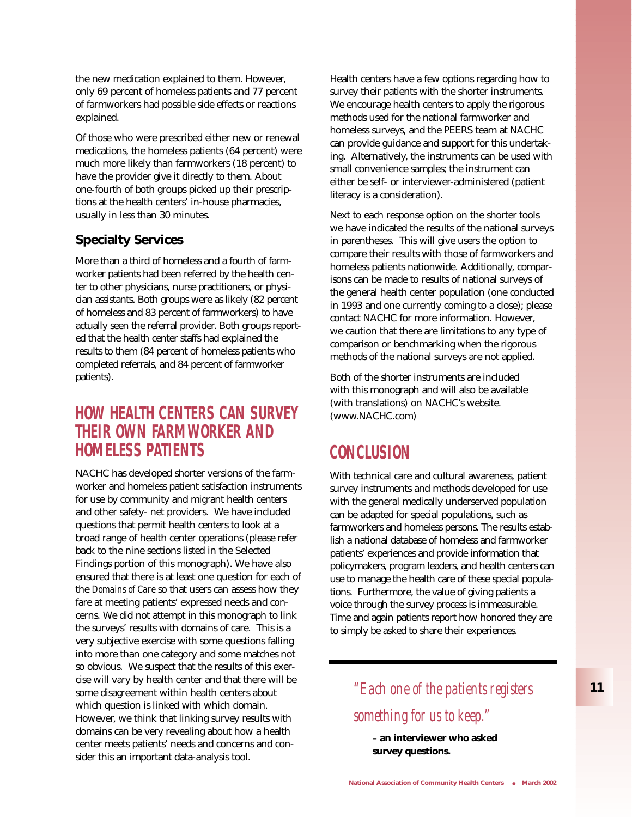the new medication explained to them. However, only 69 percent of homeless patients and 77 percent of farmworkers had possible side effects or reactions explained.

Of those who were prescribed either new or renewal medications, the homeless patients (64 percent) were much more likely than farmworkers (18 percent) to have the provider give it directly to them. About one-fourth of both groups picked up their prescriptions at the health centers' in-house pharmacies, usually in less than 30 minutes.

### **Specialty Services**

More than a third of homeless and a fourth of farmworker patients had been referred by the health center to other physicians, nurse practitioners, or physician assistants. Both groups were as likely (82 percent of homeless and 83 percent of farmworkers) to have actually seen the referral provider. Both groups reported that the health center staffs had explained the results to them (84 percent of homeless patients who completed referrals, and 84 percent of farmworker patients).

# **HOW HEALTH CENTERS CAN SURVEY THEIR OWN FARMWORKER AND HOMELESS PATIENTS**

NACHC has developed shorter versions of the farmworker and homeless patient satisfaction instruments for use by community and migrant health centers and other safety- net providers. We have included questions that permit health centers to look at a broad range of health center operations (please refer back to the nine sections listed in the Selected Findings portion of this monograph). We have also ensured that there is at least one question for each of the *Domains of Care* so that users can assess how they fare at meeting patients' expressed needs and concerns. We did not attempt in this monograph to link the surveys' results with domains of care. This is a very subjective exercise with some questions falling into more than one category and some matches not so obvious. We suspect that the results of this exercise will vary by health center and that there will be some disagreement within health centers about which question is linked with which domain. However, we think that linking survey results with domains can be very revealing about how a health center meets patients' needs and concerns and consider this an important data-analysis tool.

Health centers have a few options regarding how to survey their patients with the shorter instruments. We encourage health centers to apply the rigorous methods used for the national farmworker and homeless surveys, and the PEERS team at NACHC can provide guidance and support for this undertaking. Alternatively, the instruments can be used with small convenience samples; the instrument can either be self- or interviewer-administered (patient literacy is a consideration).

Next to each response option on the shorter tools we have indicated the results of the national surveys in parentheses. This will give users the option to compare their results with those of farmworkers and homeless patients nationwide. Additionally, comparisons can be made to results of national surveys of the general health center population (one conducted in 1993 and one currently coming to a close); please contact NACHC for more information. However, we caution that there are limitations to any type of comparison or benchmarking when the rigorous methods of the national surveys are not applied.

Both of the shorter instruments are included with this monograph and will also be available (with translations) on NACHC's website. (www.NACHC.com)

# **CONCLUSION**

With technical care and cultural awareness, patient survey instruments and methods developed for use with the general medically underserved population can be adapted for special populations, such as farmworkers and homeless persons. The results establish a national database of homeless and farmworker patients' experiences and provide information that policymakers, program leaders, and health centers can use to manage the health care of these special populations. Furthermore, the value of giving patients a voice through the survey process is immeasurable. Time and again patients report how honored they are to simply be asked to share their experiences.

> *"Each one of the patients registers something for us to keep."*

**– an interviewer who asked survey questions.**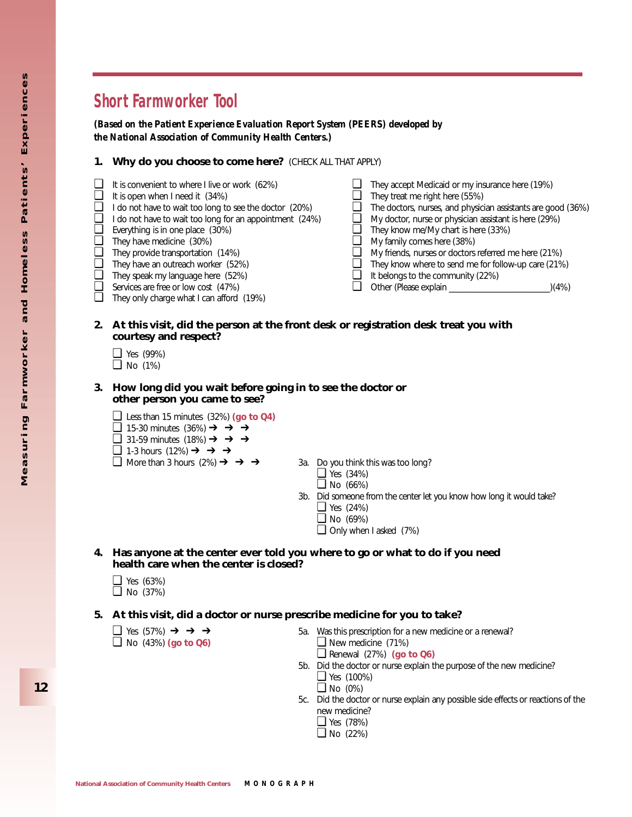# **Short Farmworker Tool**

*(Based on the Patient Experience Evaluation Report System (PEERS) developed by the National Association of Community Health Centers.)*

#### **1. Why do you choose to come here?** (CHECK ALL THAT APPLY)

- ❏ It is convenient to where I live or work (62%)
- $\Box$  It is open when I need it  $(34%)$
- ❏ I do not have to wait too long to see the doctor (20%)
- ❏ I do not have to wait too long for an appointment (24%)
- ❏ Everything is in one place (30%)
- ❏ They have medicine (30%)
- ❏ They provide transportation (14%)
- ❏ They have an outreach worker (52%)
- ❏ They speak my language here (52%)
- ❏ Services are free or low cost (47%)
- ❏ They only charge what I can afford (19%)
- $\Box$  They accept Medicaid or my insurance here (19%)<br> $\Box$  They treat me right here (55%)
- $\Box$  They treat me right here (55%)<br> $\Box$  The doctors, nurses, and physic
- ❏ The doctors, nurses, and physician assistants are good (36%)
- ❏ My doctor, nurse or physician assistant is here (29%)
- ❏ They know me/My chart is here (33%)
- ❏ My family comes here (38%)
- $\Box$  My friends, nurses or doctors referred me here (21%)<br> $\Box$  They know where to send me for follow-up care (21%)
- ❏ They know where to send me for follow-up care (21%)
- $\Box$  It belongs to the community (22%)<br> $\Box$  Other (Please explain
- ❏ Other (Please explain \_\_\_\_\_\_\_\_\_\_\_\_\_\_\_\_\_\_\_\_\_\_\_\_\_)(4%)

#### **2. At this visit, did the person at the front desk or registration desk treat you with courtesy and respect?**

- ❏ Yes (99%)
- ❏ No (1%)
- **3. How long did you wait before going in to see the doctor or other person you came to see?**
	- ❏ Less than 15 minutes (32%) **(go to Q4)**
	- ❏ 15-30 minutes (36%) ➔ ➔ ➔
	- ❏ 31-59 minutes (18%) ➔ ➔ ➔
	- ❏ 1-3 hours (12%) ➔ ➔ ➔
	- $\Box$  More than 3 hours (2%)  $\rightarrow$  → → 3a. Do you think this was too long?
		-
		- ❏ Yes (34%)
		- ❏ No (66%)
		- 3b. Did someone from the center let you know how long it would take? ❏ Yes (24%)
			- ❏ No (69%)
			- ❏ Only when I asked (7%)
- **4. Has anyone at the center ever told you where to go or what to do if you need health care when the center is closed?**
	- ❏ Yes (63%) ❏ No (37%)
- **5. At this visit, did a doctor or nurse prescribe medicine for you to take?**
	- ❏ No (43%) **(go to Q6)** ❏ New medicine (71%)
	- ❏ Yes (57%) ➔ ➔ ➔ 5a. Was this prescription for a new medicine or a renewal? ❏ Renewal (27%) **(go to Q6)**
		- 5b. Did the doctor or nurse explain the purpose of the new medicine? ❏ Yes (100%)
			- $\Box$  No (0%)
		- 5c. Did the doctor or nurse explain any possible side effects or reactions of the new medicine?
			- ❏ Yes (78%)
			- ❏ No (22%)

**12**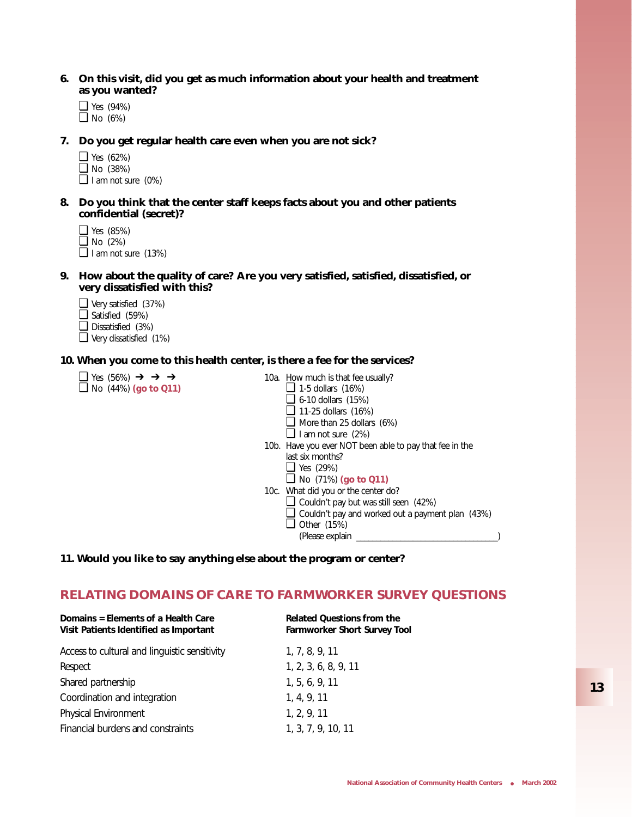- **6. On this visit, did you get as much information about your health and treatment as you wanted?**
	- ❏ Yes (94%) ❏ No (6%)
- **7. Do you get regular health care even when you are not sick?**
	- ❏ Yes (62%) ❏ No (38%)
	- ❏ I am not sure (0%)
- **8. Do you think that the center staff keeps facts about you and other patients confidential (secret)?**
	- ❏ Yes (85%)  $\Box$  No (2%)

❏ I am not sure (13%)

- **9. How about the quality of care? Are you very satisfied, satisfied, dissatisfied, or very dissatisfied with this?**
	- ❏ Very satisfied (37%)
	- ❏ Satisfied (59%)
	- ❏ Dissatisfied (3%)
	- ❏ Very dissatisfied (1%)

#### **10. When you come to this health center, is there a fee for the services?**

- ❏ Yes (56%) ➔ ➔ ➔ 10a. How much is that fee usually?
- ❏ No (44%) **(go to Q11)** ❏ 1-5 dollars (16%)
- -
	- ❏ 6-10 dollars (15%) ❏ 11-25 dollars (16%)
	- ❏ More than 25 dollars (6%)
	-
	- ❏ I am not sure (2%)
	- 10b. Have you ever NOT been able to pay that fee in the last six months?
		- ❏ Yes (29%)
		- ❏ No (71%) **(go to Q11)**
	- 10c. What did you or the center do?
		- ❏ Couldn't pay but was still seen (42%)
			- ❏ Couldn't pay and worked out a payment plan (43%)
			- ❏ Other (15%)
				- (Please explain \_\_\_\_\_\_\_\_\_\_\_\_\_\_\_\_\_\_\_\_\_\_\_\_\_\_\_\_\_\_\_\_\_\_\_)
- **11. Would you like to say anything else about the program or center?**

### **RELATING DOMAINS OF CARE TO FARMWORKER SURVEY QUESTIONS**

| Domains = Elements of a Health Care<br>Visit Patients Identified as Important | <b>Related Questions from the</b><br><b>Farmworker Short Survey Tool</b> |
|-------------------------------------------------------------------------------|--------------------------------------------------------------------------|
| Access to cultural and linguistic sensitivity                                 | 1, 7, 8, 9, 11                                                           |
| Respect                                                                       | 1, 2, 3, 6, 8, 9, 11                                                     |
| Shared partnership                                                            | 1, 5, 6, 9, 11                                                           |
| Coordination and integration                                                  | 1, 4, 9, 11                                                              |
| Physical Environment                                                          | 1, 2, 9, 11                                                              |
| Financial burdens and constraints                                             | 1, 3, 7, 9, 10, 11                                                       |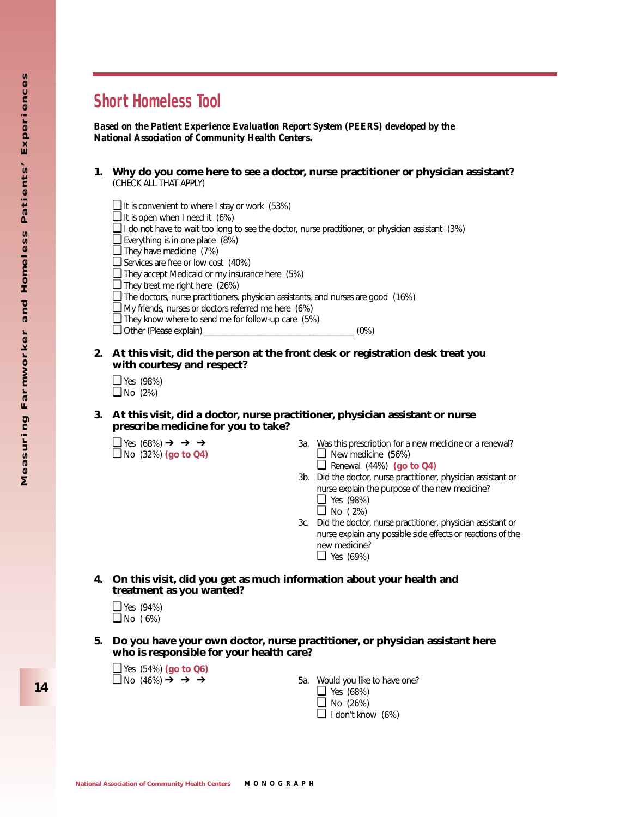# **Short Homeless Tool**

*Based on the Patient Experience Evaluation Report System (PEERS) developed by the National Association of Community Health Centers.*

- **1. Why do you come here to see a doctor, nurse practitioner or physician assistant?** (CHECK ALL THAT APPLY)
- ❏ It is convenient to where I stay or work (53%) ❏ It is open when I need it (6%)  $\Box$  I do not have to wait too long to see the doctor, nurse practitioner, or physician assistant (3%) ❏ Everything is in one place (8%) ❏ They have medicine (7%) ❏ Services are free or low cost (40%) ❏ They accept Medicaid or my insurance here (5%) ❏ They treat me right here (26%) ❏ The doctors, nurse practitioners, physician assistants, and nurses are good (16%) ❏ My friends, nurses or doctors referred me here (6%) ❏ They know where to send me for follow-up care (5%) ❏ Other (Please explain) \_\_\_\_\_\_\_\_\_\_\_\_\_\_\_\_\_\_\_\_\_\_\_\_\_\_\_\_\_\_\_\_\_\_\_\_\_ (0%)
- **2. At this visit, did the person at the front desk or registration desk treat you with courtesy and respect?**

❏ Yes (98%) ❏ No (2%)

**3. At this visit, did a doctor, nurse practitioner, physician assistant or nurse prescribe medicine for you to take?**

- $\Box$  Yes (68%) **→** → → 3a. Was this prescription for a new medicine or a renewal? ❏ No (32%) **(go to Q4)** ❏ New medicine (56%)
	- ❏ Renewal (44%) **(go to Q4)**
	- 3b. Did the doctor, nurse practitioner, physician assistant or nurse explain the purpose of the new medicine?
		- ❏ Yes (98%) ❏ No ( 2%)
	- 3c. Did the doctor, nurse practitioner, physician assistant or nurse explain any possible side effects or reactions of the new medicine? ❏ Yes (69%)
- **4. On this visit, did you get as much information about your health and treatment as you wanted?**

❏ Yes (94%)  $\Box$  No (6%)

- **5. Do you have your own doctor, nurse practitioner, or physician assistant here who is responsible for your health care?**
	- ❏ Yes (54%) **(go to Q6)**

5a. Would you like to have one? ❏ Yes (68%) ❏ No (26%) ❏ I don't know (6%)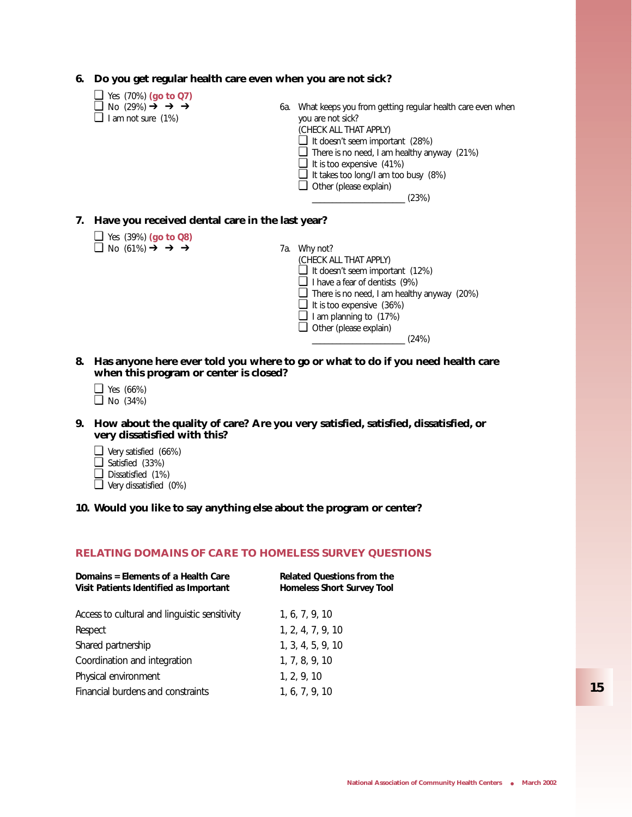#### **6. Do you get regular health care even when you are not sick?**

- ❏ Yes (70%) **(go to Q7)**
- 
- $\Box$  I am not sure (1%)
- 6a. What keeps you from getting regular health care even when you are not sick?
	- (CHECK ALL THAT APPLY)
	- ❏ It doesn't seem important (28%)
	- ❏ There is no need, I am healthy anyway (21%)
	- ❏ It is too expensive (41%)
	- ❏ It takes too long/I am too busy (8%)
	- ❏ Other (please explain)

 $\frac{1}{23\%}$ 

#### **7. Have you received dental care in the last year?**

- ❏ Yes (39%) **(go to Q8)**
- $\Box$  No (61%)  $\rightarrow$   $\rightarrow$   $\rightarrow$  7a. Why not?
- (CHECK ALL THAT APPLY) ❏ It doesn't seem important (12%) ❏ I have a fear of dentists (9%) ❏ There is no need, I am healthy anyway (20%) ❏ It is too expensive (36%)  $\Box$  I am planning to (17%) ❏ Other (please explain)  $(24%)$
- **8. Has anyone here ever told you where to go or what to do if you need health care when this program or center is closed?**
	- ❏ Yes (66%)
	- ❏ No (34%)
- **9. How about the quality of care? Are you very satisfied, satisfied, dissatisfied, or very dissatisfied with this?**
	- ❏ Very satisfied (66%)
	- ❏ Satisfied (33%)
	- ❏ Dissatisfied (1%)
	- ❏ Very dissatisfied (0%)

#### **10. Would you like to say anything else about the program or center?**

#### **RELATING DOMAINS OF CARE TO HOMELESS SURVEY QUESTIONS**

| Domains = Elements of a Health Care<br>Visit Patients Identified as Important | <b>Related Questions from the</b><br><b>Homeless Short Survey Tool</b> |
|-------------------------------------------------------------------------------|------------------------------------------------------------------------|
| Access to cultural and linguistic sensitivity                                 | 1, 6, 7, 9, 10                                                         |
| Respect                                                                       | 1, 2, 4, 7, 9, 10                                                      |
| Shared partnership                                                            | 1, 3, 4, 5, 9, 10                                                      |
| Coordination and integration                                                  | 1, 7, 8, 9, 10                                                         |
| Physical environment                                                          | 1, 2, 9, 10                                                            |
| Financial burdens and constraints                                             | 1, 6, 7, 9, 10                                                         |